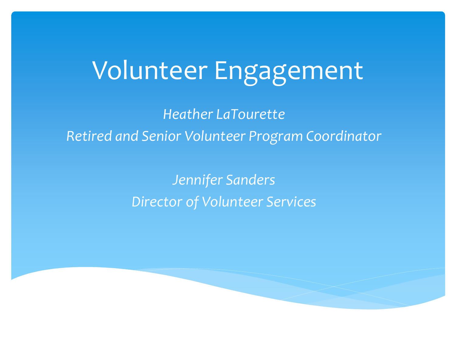#### Volunteer Engagement

*Heather LaTourette Retired and Senior Volunteer Program Coordinator*

> *Jennifer Sanders Director of Volunteer Services*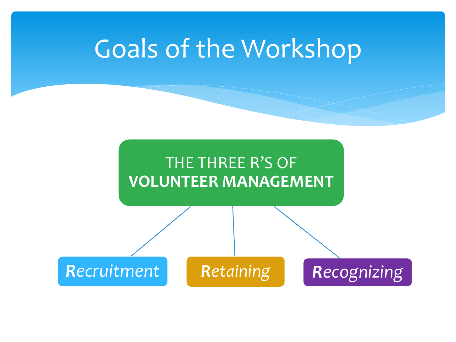#### Goals of the Workshop

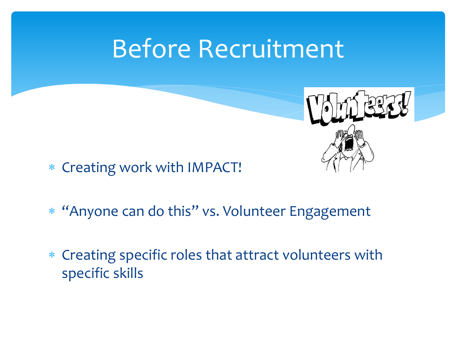#### Before Recruitment



- Creating work with IMPACT!
- "Anyone can do this" vs. Volunteer Engagement
- Creating specific roles that attract volunteers with specific skills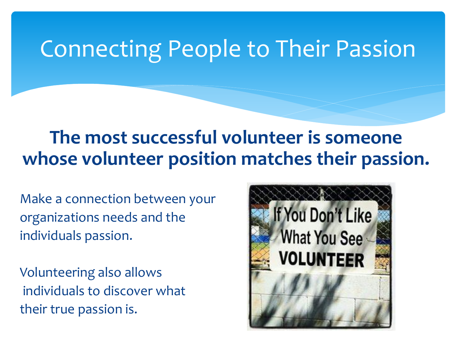#### Connecting People to Their Passion

#### **The most successful volunteer is someone whose volunteer position matches their passion.**

Make a connection between your organizations needs and the individuals passion.

Volunteering also allows individuals to discover what their true passion is.

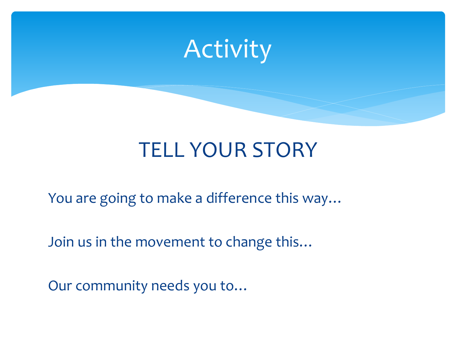

#### TELL YOUR STORY

You are going to make a difference this way…

Join us in the movement to change this…

Our community needs you to…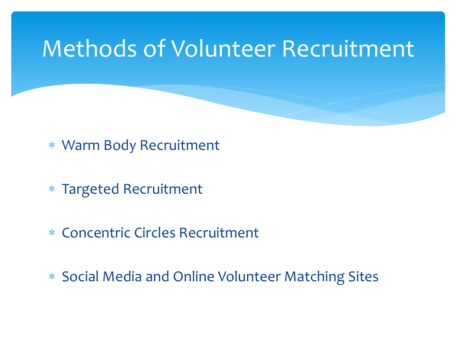#### Methods of Volunteer Recruitment

- Warm Body Recruitment
- Targeted Recruitment
- Concentric Circles Recruitment
- Social Media and Online Volunteer Matching Sites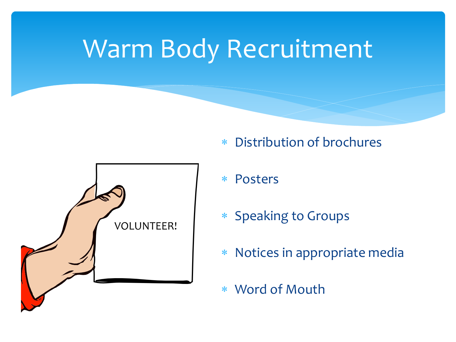#### Warm Body Recruitment



- Distribution of brochures
- Posters
- Speaking to Groups
- Notices in appropriate media
- Word of Mouth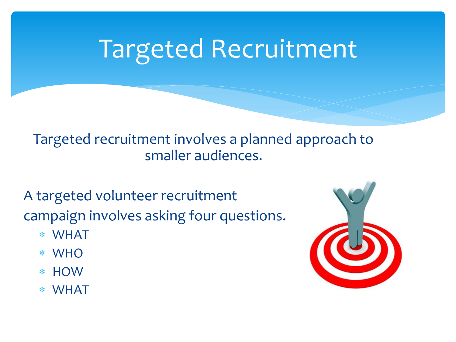#### Targeted Recruitment

#### Targeted recruitment involves a planned approach to smaller audiences.

A targeted volunteer recruitment campaign involves asking four questions.

- WHAT
- WHO
- **HOW**
- WHAT

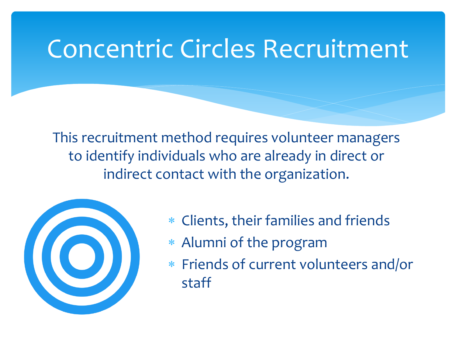#### Concentric Circles Recruitment

This recruitment method requires volunteer managers to identify individuals who are already in direct or indirect contact with the organization.



- Clients, their families and friends
- Alumni of the program
- Friends of current volunteers and/or staff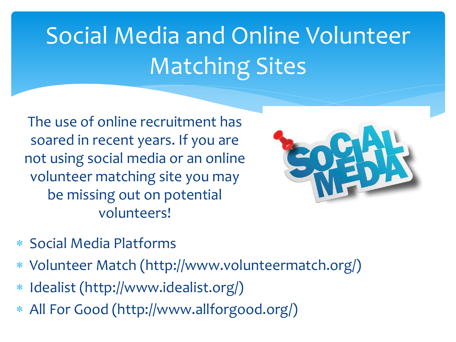### Social Media and Online Volunteer Matching Sites

The use of online recruitment has soared in recent years. If you are not using social media or an online volunteer matching site you may be missing out on potential volunteers!



- Social Media Platforms
- Volunteer Match (http://www.volunteermatch.org/)
- Idealist (http://www.idealist.org/)
- All For Good (http://www.allforgood.org/)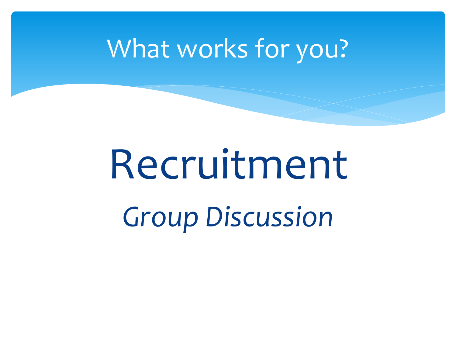#### What works for you?

## Recruitment *Group Discussion*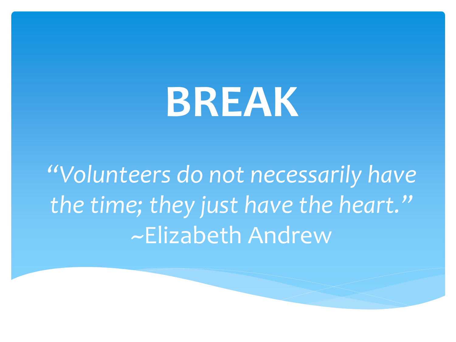## **BREAK**

*"Volunteers do not necessarily have the time; they just have the heart."* ~Elizabeth Andrew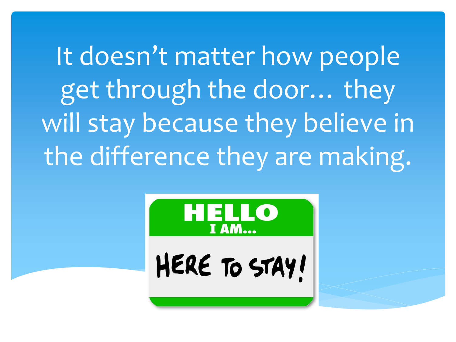It doesn't matter how people get through the door… they will stay because they believe in the difference they are making.



HERE TO STAY!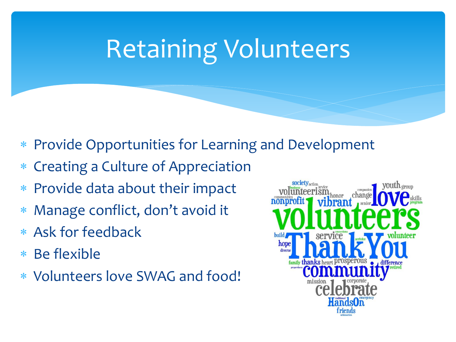### Retaining Volunteers

- Provide Opportunities for Learning and Development
- Creating a Culture of Appreciation
- Provide data about their impact
- Manage conflict, don't avoid it
- Ask for feedback
- Be flexible
- Volunteers love SWAG and food!

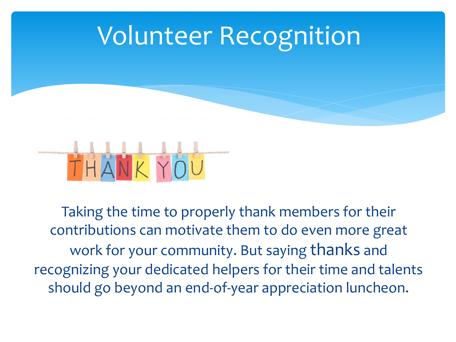



Taking the time to properly thank members for their contributions can motivate them to do even more great work for your community. But saying thanks and recognizing your dedicated helpers for their time and talents should go beyond an end-of-year appreciation luncheon.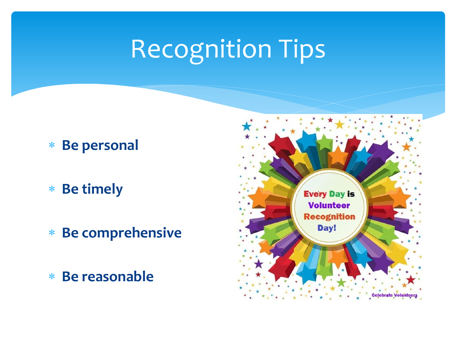### Recognition Tips

- **Be personal**
- **Be timely**
- **Be comprehensive**
- **Be reasonable**

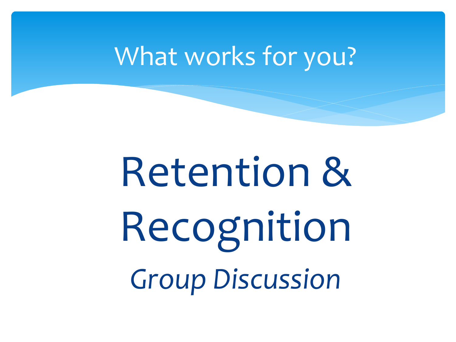#### What works for you?

# Retention & Recognition *Group Discussion*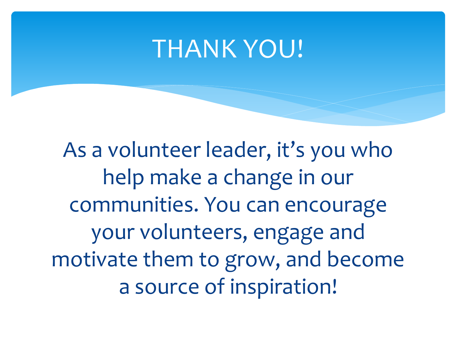#### THANK YOU!

As a volunteer leader, it's you who help make a change in our communities. You can encourage your volunteers, engage and motivate them to grow, and become a source of inspiration!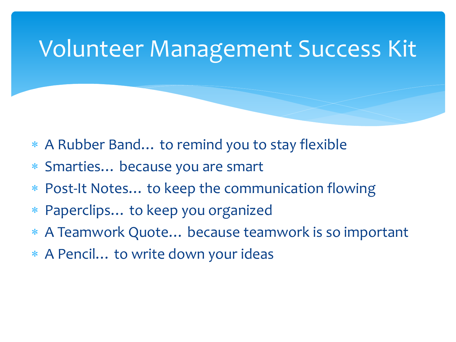#### Volunteer Management Success Kit

- A Rubber Band… to remind you to stay flexible
- Smarties… because you are smart
- Post-It Notes… to keep the communication flowing
- Paperclips… to keep you organized
- A Teamwork Quote… because teamwork is so important
- A Pencil… to write down your ideas